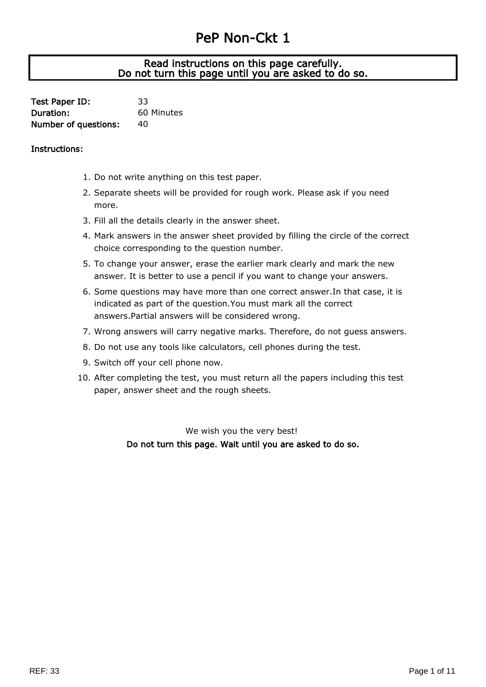# PeP Non-Ckt 1

## J Read instructions on this page carefully. Do not turn this page until you are asked to do so.

| Test Paper ID:              | 33         |
|-----------------------------|------------|
| Duration:                   | 60 Minutes |
| <b>Number of questions:</b> | 40         |

### Instructions:

- 1. Do not write anything on this test paper.
- 2. Separate sheets will be provided for rough work. Please ask if you need more.
- 3. Fill all the details clearly in the answer sheet.
- 4. Mark answers in the answer sheet provided by filling the circle of the correct choice corresponding to the question number.
- 5. To change your answer, erase the earlier mark clearly and mark the new answer. It is better to use a pencil if you want to change your answers.
- 6. Some questions may have more than one correct answer.In that case, it is indicated as part of the question.You must mark all the correct answers.Partial answers will be considered wrong.
- 7. Wrong answers will carry negative marks. Therefore, do not guess answers.
- 8. Do not use any tools like calculators, cell phones during the test.
- 9. Switch off your cell phone now.
- 10. After completing the test, you must return all the papers including this test paper, answer sheet and the rough sheets.

We wish you the very best! Do not turn this page. Wait until you are asked to do so.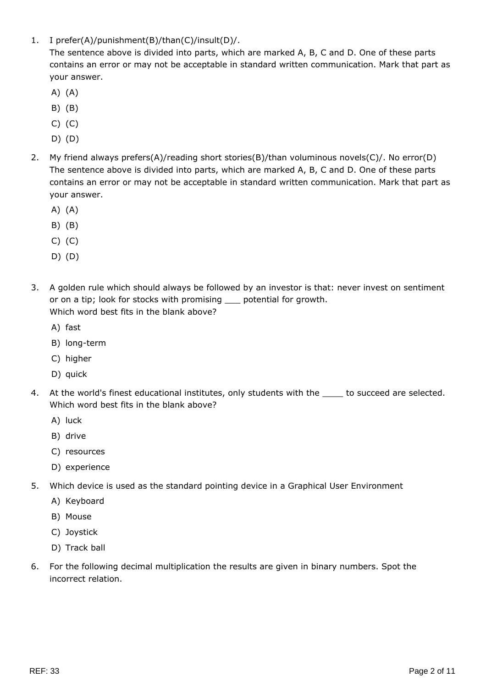1. I prefer(A)/punishment(B)/than(C)/insult(D)/.

The sentence above is divided into parts, which are marked A, B, C and D. One of these parts contains an error or may not be acceptable in standard written communication. Mark that part as your answer.

- A) (A)
- B) (B)
- C) (C)
- D) (D)
- 2. My friend always prefers(A)/reading short stories(B)/than voluminous novels(C)/. No error(D) The sentence above is divided into parts, which are marked A, B, C and D. One of these parts contains an error or may not be acceptable in standard written communication. Mark that part as your answer.
	- A) (A)
	- B) (B)
	- C) (C)
	- D) (D)
- 3. A golden rule which should always be followed by an investor is that: never invest on sentiment or on a tip; look for stocks with promising \_\_\_ potential for growth. Which word best fits in the blank above?
	- A) fast
	- B) long-term
	- C) higher
	- D) quick
- 4. At the world's finest educational institutes, only students with the succeed are selected. Which word best fits in the blank above?
	- A) luck
	- B) drive
	- C) resources
	- D) experience
- 5. Which device is used as the standard pointing device in a Graphical User Environment
	- A) Keyboard
	- B) Mouse
	- C) Joystick
	- D) Track ball
- 6. For the following decimal multiplication the results are given in binary numbers. Spot the incorrect relation.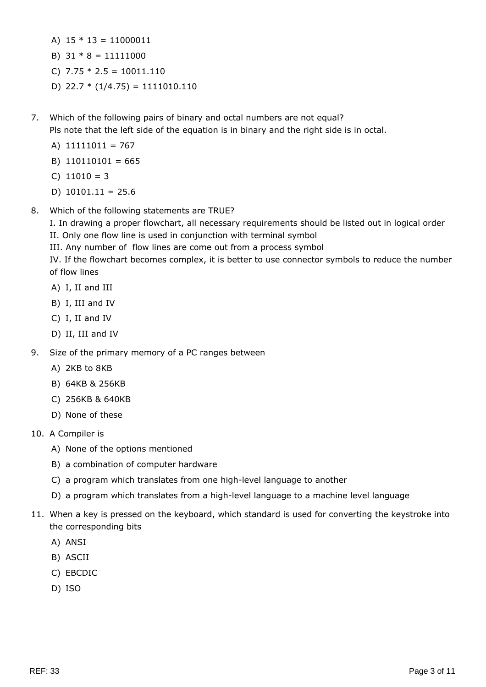- A)  $15 * 13 = 11000011$
- B)  $31 * 8 = 11111000$
- C)  $7.75 * 2.5 = 10011.110$
- D)  $22.7 * (1/4.75) = 1111010.110$
- 7. Which of the following pairs of binary and octal numbers are not equal? Pls note that the left side of the equation is in binary and the right side is in octal.
	- A) 11111011 = 767
	- B) 110110101 = 665
	- $C)$  11010 = 3
	- D)  $10101.11 = 25.6$
- 8. Which of the following statements are TRUE?

I. In drawing a proper flowchart, all necessary requirements should be listed out in logical order II. Only one flow line is used in conjunction with terminal symbol

III. Any number of flow lines are come out from a process symbol

IV. If the flowchart becomes complex, it is better to use connector symbols to reduce the number of flow lines

- A) I, II and III
- B) I, III and IV
- C) I, II and IV
- D) II, III and IV
- 9. Size of the primary memory of a PC ranges between
	- A) 2KB to 8KB
	- B) 64KB & 256KB
	- C) 256KB & 640KB
	- D) None of these
- 10. A Compiler is
	- A) None of the options mentioned
	- B) a combination of computer hardware
	- C) a program which translates from one high-level language to another
	- D) a program which translates from a high-level language to a machine level language
- 11. When a key is pressed on the keyboard, which standard is used for converting the keystroke into the corresponding bits
	- A) ANSI
	- B) ASCII
	- C) EBCDIC
	- D) ISO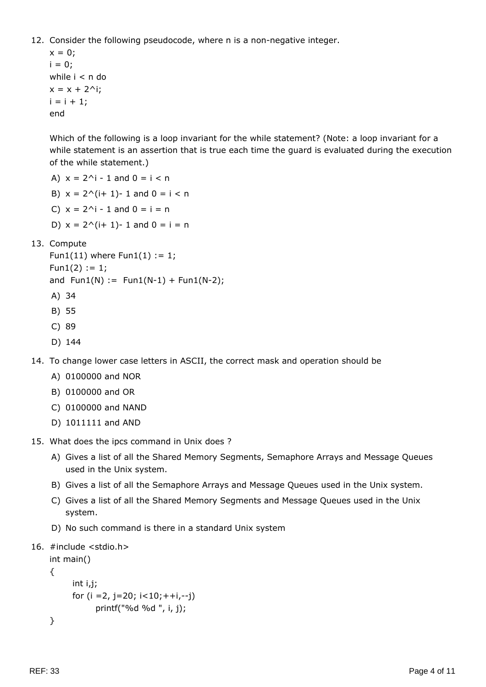12. Consider the following pseudocode, where n is a non-negative integer.

 $x = 0;$  $i = 0;$ while i < n do  $x = x + 2^i$ ;  $i = i + 1;$ end

Which of the following is a loop invariant for the while statement? (Note: a loop invariant for a while statement is an assertion that is true each time the guard is evaluated during the execution of the while statement.)

A)  $x = 2^i - 1$  and  $0 = i < n$ 

B)  $x = 2^{(i+1)-1}$  and  $0 = i < n$ 

- C)  $x = 2^i 1$  and  $0 = i = n$
- D)  $x = 2^{(i+1)-1}$  and  $0 = i = n$
- 13. Compute

Fun1(11) where  $Fun1(1) := 1;$  $Fun1(2) := 1;$ 

and  $Fun1(N) := Fun1(N-1) + Fun1(N-2);$ 

- A) 34
- B) 55
- C) 89
- D) 144

14. To change lower case letters in ASCII, the correct mask and operation should be

- A) 0100000 and NOR
- B) 0100000 and OR
- C) 0100000 and NAND
- D) 1011111 and AND
- 15. What does the ipcs command in Unix does ?
	- A) Gives a list of all the Shared Memory Segments, Semaphore Arrays and Message Queues used in the Unix system.
	- B) Gives a list of all the Semaphore Arrays and Message Queues used in the Unix system.
	- C) Gives a list of all the Shared Memory Segments and Message Queues used in the Unix system.
	- D) No such command is there in a standard Unix system
- 16. #include <stdio.h>

```
int main()
{
       int i,j;
      for (i = 2, j = 20; i < 10; ++i, -j) printf("%d %d ", i, j);
}
```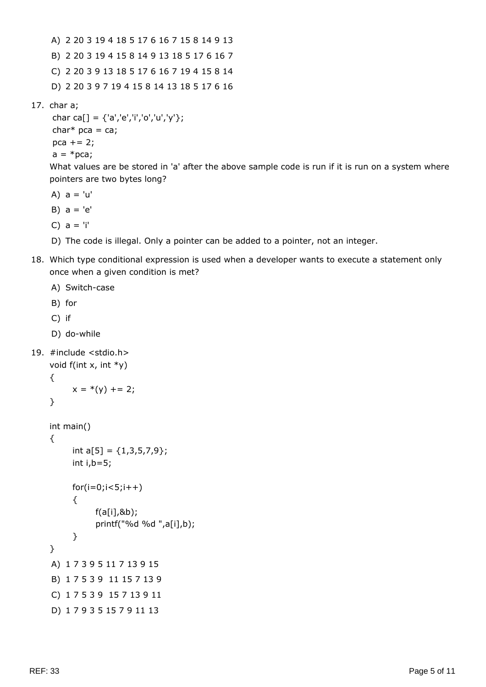A) 2 20 3 19 4 18 5 17 6 16 7 15 8 14 9 13 B) 2 20 3 19 4 15 8 14 9 13 18 5 17 6 16 7 C) 2 20 3 9 13 18 5 17 6 16 7 19 4 15 8 14 D) 2 20 3 9 7 19 4 15 8 14 13 18 5 17 6 16

17. char a;

```
char ca[] = {'a','e','i','o','u','y'};
char* pca = ca;
pca += 2;a = *pca;
```
What values are be stored in 'a' after the above sample code is run if it is run on a system where pointers are two bytes long?

- A)  $a = 'u'$
- B)  $a = 'e'$
- C)  $a = 'i'$
- D) The code is illegal. Only a pointer can be added to a pointer, not an integer.
- 18. Which type conditional expression is used when a developer wants to execute a statement only once when a given condition is met?

```
A) Switch-case
    B) for
    C) if
     D) do-while
19. #include <stdio.h>
    void f(int x, int *y)
    {
          x = * (y) += 2;}
    int main()
    {
          int a[5] = \{1,3,5,7,9\};
           int i,b=5;
          for(i=0; i<5; i++) {
                f(a[i],&b);
                printf("%d %d ",a[i],b);
           }
    }
    A) 1 7 3 9 5 11 7 13 9 15
     B) 1 7 5 3 9 11 15 7 13 9
    C) 1 7 5 3 9 15 7 13 9 11
     D) 1 7 9 3 5 15 7 9 11 13
```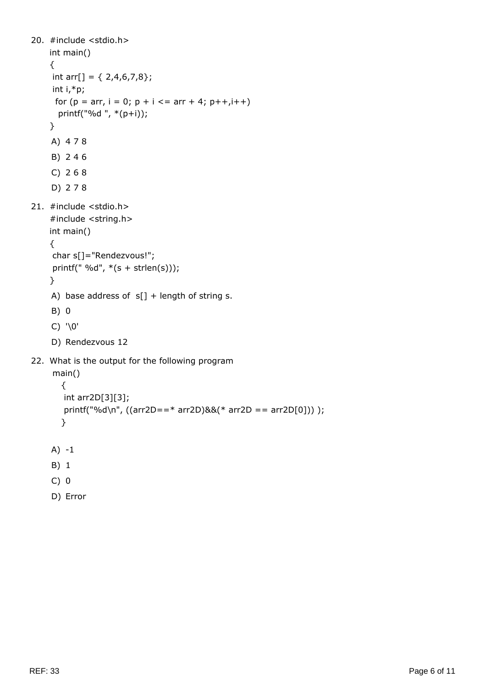```
20. #include <stdio.h>
    int main()
    {
     int arr[] = \{ 2,4,6,7,8\}; int i,*p;
     for (p = arr, i = 0; p + i \leq = arr + 4; p++, i++) printf("%d ", *(p+i));
    }
    A) 4 7 8
    B) 2 4 6
    C) 2 6 8
    D) 2 7 8
21. #include <stdio.h>
    #include <string.h>
    int main()
    {
      char s[]="Rendezvous!";
     printf(" %d", *(s + strlen(s)));
    }
    A) base address of s[] + length of string s.
    B) 0
    C) '\0'
    D) Rendezvous 12
22. What is the output for the following program
      main()
        {
        int arr2D[3][3];
        printf("%d\n", ((arr2D==* arr2D)&&(* arr2D == arr2D[0])) );
        }
    A) -1
    B) 1
    C) 0
    D) Error
```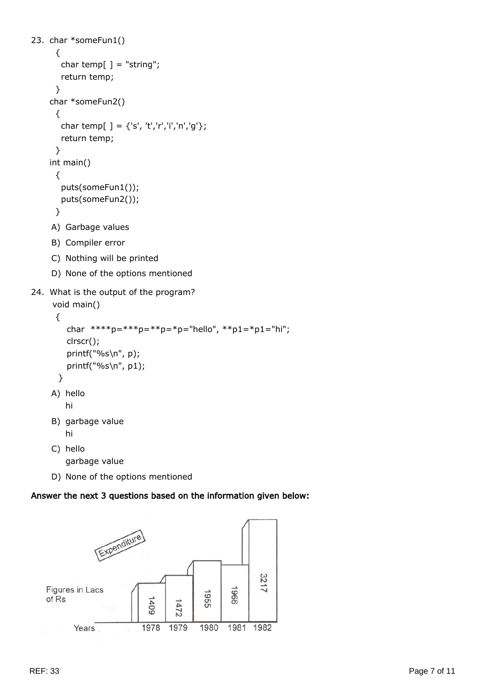```
23. char *someFun1()
       {
       char temp[] = "string"; return temp;
      }
    char *someFun2()
       {
       char temp[ ] = {'s', 't','r','i','n','g'};
        return temp;
      }
    int main()
      {
        puts(someFun1());
        puts(someFun2());
      }
    A) Garbage values
    B) Compiler error
    C) Nothing will be printed
    D) None of the options mentioned
```

```
24. What is the output of the program?
```

```
 void main()
  {
   char ***p=***p=***p=*p="hello", **p1=*pi="hi"; clrscr();
    printf("%s\n", p);
    printf("%s\n", p1);
  }
A) hello
   hi
B) garbage value
   hi
C) hello
```
garbage value

D) None of the options mentioned

## Answer the next 3 questions based on the information given below:

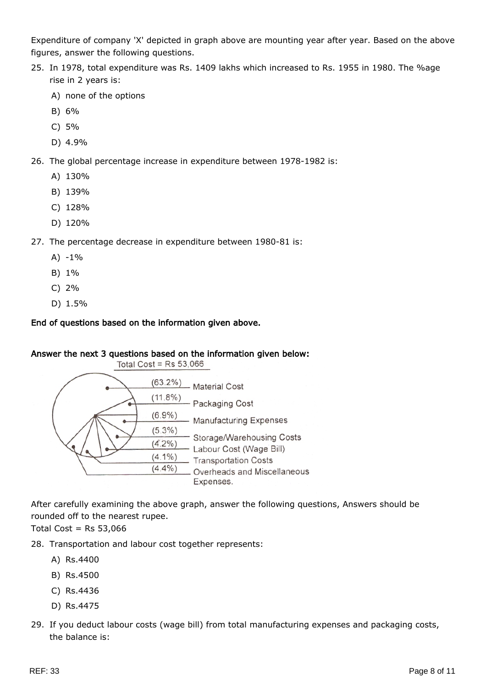Expenditure of company 'X' depicted in graph above are mounting year after year. Based on the above figures, answer the following questions.

- 25. In 1978, total expenditure was Rs. 1409 lakhs which increased to Rs. 1955 in 1980. The %age rise in 2 years is:
	- A) none of the options
	- B) 6%
	- C) 5%
	- D) 4.9%
- 26. The global percentage increase in expenditure between 1978-1982 is:
	- A) 130%
	- B) 139%
	- C) 128%
	- D) 120%
- 27. The percentage decrease in expenditure between 1980-81 is:
	- $A) -1%$
	- B) 1%
	- C) 2%
	- D) 1.5%

#### End of questions based on the information given above.

#### Answer the next 3 questions based on the information given below:



After carefully examining the above graph, answer the following questions, Answers should be rounded off to the nearest rupee.

Total Cost =  $Rs$  53,066

28. Transportation and labour cost together represents:

- A) Rs.4400
- B) Rs.4500
- C) Rs.4436
- D) Rs.4475
- 29. If you deduct labour costs (wage bill) from total manufacturing expenses and packaging costs, the balance is: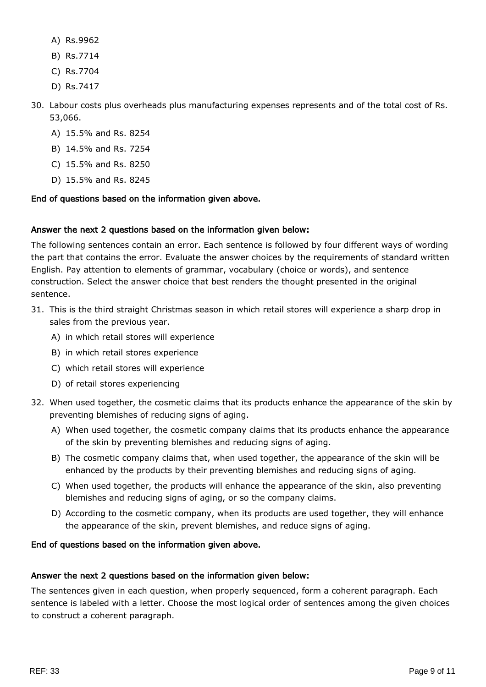- A) Rs.9962
- B) Rs.7714
- C) Rs.7704
- D) Rs.7417
- 30. Labour costs plus overheads plus manufacturing expenses represents and of the total cost of Rs. 53,066.
	- A) 15.5% and Rs. 8254
	- B) 14.5% and Rs. 7254
	- C) 15.5% and Rs. 8250
	- D) 15.5% and Rs. 8245

## End of questions based on the information given above.

## Answer the next 2 questions based on the information given below:

The following sentences contain an error. Each sentence is followed by four different ways of wording the part that contains the error. Evaluate the answer choices by the requirements of standard written English. Pay attention to elements of grammar, vocabulary (choice or words), and sentence construction. Select the answer choice that best renders the thought presented in the original sentence.

- 31. This is the third straight Christmas season in which retail stores will experience a sharp drop in sales from the previous year.
	- A) in which retail stores will experience
	- B) in which retail stores experience
	- C) which retail stores will experience
	- D) of retail stores experiencing
- 32. When used together, the cosmetic claims that its products enhance the appearance of the skin by preventing blemishes of reducing signs of aging.
	- A) When used together, the cosmetic company claims that its products enhance the appearance of the skin by preventing blemishes and reducing signs of aging.
	- B) The cosmetic company claims that, when used together, the appearance of the skin will be enhanced by the products by their preventing blemishes and reducing signs of aging.
	- C) When used together, the products will enhance the appearance of the skin, also preventing blemishes and reducing signs of aging, or so the company claims.
	- D) According to the cosmetic company, when its products are used together, they will enhance the appearance of the skin, prevent blemishes, and reduce signs of aging.

## End of questions based on the information given above.

## Answer the next 2 questions based on the information given below:

The sentences given in each question, when properly sequenced, form a coherent paragraph. Each sentence is labeled with a letter. Choose the most logical order of sentences among the given choices to construct a coherent paragraph.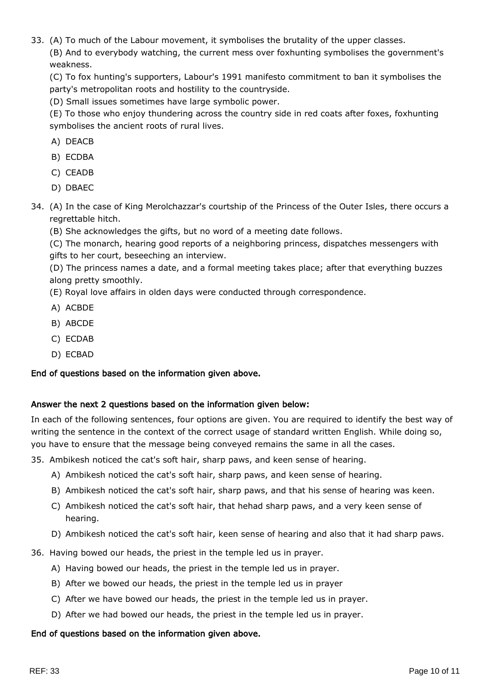33. (A) To much of the Labour movement, it symbolises the brutality of the upper classes.

(B) And to everybody watching, the current mess over foxhunting symbolises the government's weakness.

(C) To fox hunting's supporters, Labour's 1991 manifesto commitment to ban it symbolises the party's metropolitan roots and hostility to the countryside.

(D) Small issues sometimes have large symbolic power.

(E) To those who enjoy thundering across the country side in red coats after foxes, foxhunting symbolises the ancient roots of rural lives.

- A) DEACB
- B) ECDBA
- C) CEADB
- D) DBAEC
- 34. (A) In the case of King Merolchazzar's courtship of the Princess of the Outer Isles, there occurs a regrettable hitch.
	- (B) She acknowledges the gifts, but no word of a meeting date follows.

(C) The monarch, hearing good reports of a neighboring princess, dispatches messengers with gifts to her court, beseeching an interview.

(D) The princess names a date, and a formal meeting takes place; after that everything buzzes along pretty smoothly.

(E) Royal love affairs in olden days were conducted through correspondence.

- A) ACBDE
- B) ABCDE
- C) ECDAB
- D) ECBAD

#### End of questions based on the information given above.

#### Answer the next 2 questions based on the information given below:

In each of the following sentences, four options are given. You are required to identify the best way of writing the sentence in the context of the correct usage of standard written English. While doing so, you have to ensure that the message being conveyed remains the same in all the cases.

35. Ambikesh noticed the cat's soft hair, sharp paws, and keen sense of hearing.

- A) Ambikesh noticed the cat's soft hair, sharp paws, and keen sense of hearing.
- B) Ambikesh noticed the cat's soft hair, sharp paws, and that his sense of hearing was keen.
- C) Ambikesh noticed the cat's soft hair, that hehad sharp paws, and a very keen sense of hearing.
- D) Ambikesh noticed the cat's soft hair, keen sense of hearing and also that it had sharp paws.
- 36. Having bowed our heads, the priest in the temple led us in prayer.
	- A) Having bowed our heads, the priest in the temple led us in prayer.
	- B) After we bowed our heads, the priest in the temple led us in prayer
	- C) After we have bowed our heads, the priest in the temple led us in prayer.
	- D) After we had bowed our heads, the priest in the temple led us in prayer.

#### End of questions based on the information given above.